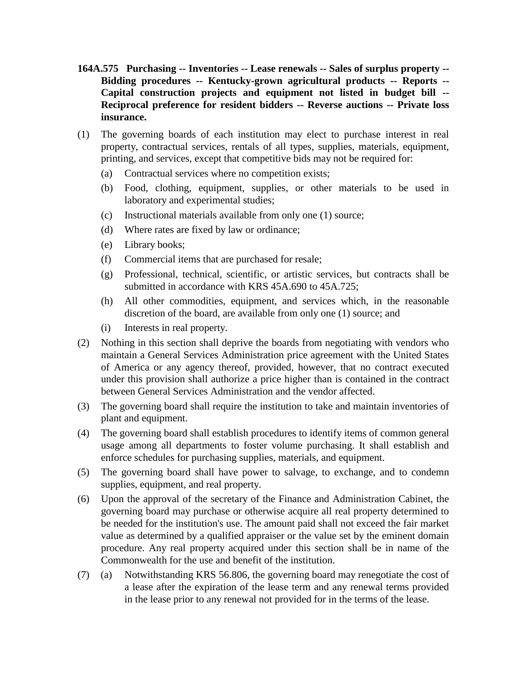- **164A.575 Purchasing -- Inventories -- Lease renewals -- Sales of surplus property -- Bidding procedures -- Kentucky-grown agricultural products -- Reports -- Capital construction projects and equipment not listed in budget bill -- Reciprocal preference for resident bidders -- Reverse auctions -- Private loss insurance.**
- (1) The governing boards of each institution may elect to purchase interest in real property, contractual services, rentals of all types, supplies, materials, equipment, printing, and services, except that competitive bids may not be required for:
	- (a) Contractual services where no competition exists;
	- (b) Food, clothing, equipment, supplies, or other materials to be used in laboratory and experimental studies;
	- (c) Instructional materials available from only one (1) source;
	- (d) Where rates are fixed by law or ordinance;
	- (e) Library books;
	- (f) Commercial items that are purchased for resale;
	- (g) Professional, technical, scientific, or artistic services, but contracts shall be submitted in accordance with KRS 45A.690 to 45A.725;
	- (h) All other commodities, equipment, and services which, in the reasonable discretion of the board, are available from only one (1) source; and
	- (i) Interests in real property.
- (2) Nothing in this section shall deprive the boards from negotiating with vendors who maintain a General Services Administration price agreement with the United States of America or any agency thereof, provided, however, that no contract executed under this provision shall authorize a price higher than is contained in the contract between General Services Administration and the vendor affected.
- (3) The governing board shall require the institution to take and maintain inventories of plant and equipment.
- (4) The governing board shall establish procedures to identify items of common general usage among all departments to foster volume purchasing. It shall establish and enforce schedules for purchasing supplies, materials, and equipment.
- (5) The governing board shall have power to salvage, to exchange, and to condemn supplies, equipment, and real property.
- (6) Upon the approval of the secretary of the Finance and Administration Cabinet, the governing board may purchase or otherwise acquire all real property determined to be needed for the institution's use. The amount paid shall not exceed the fair market value as determined by a qualified appraiser or the value set by the eminent domain procedure. Any real property acquired under this section shall be in name of the Commonwealth for the use and benefit of the institution.
- (7) (a) Notwithstanding KRS 56.806, the governing board may renegotiate the cost of a lease after the expiration of the lease term and any renewal terms provided in the lease prior to any renewal not provided for in the terms of the lease.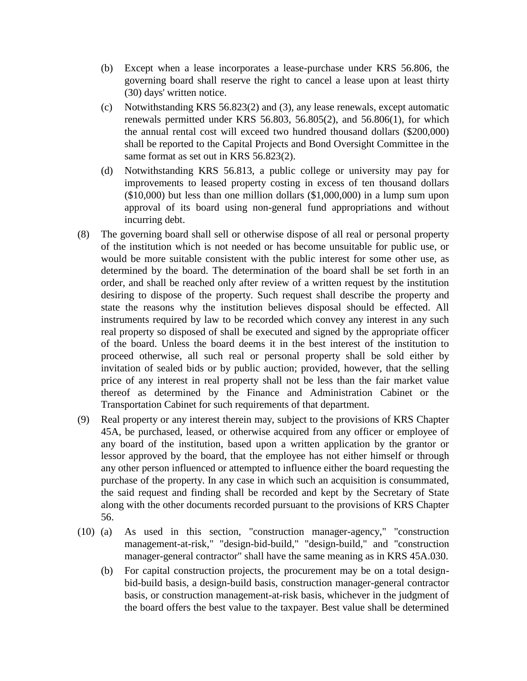- (b) Except when a lease incorporates a lease-purchase under KRS 56.806, the governing board shall reserve the right to cancel a lease upon at least thirty (30) days' written notice.
- (c) Notwithstanding KRS 56.823(2) and (3), any lease renewals, except automatic renewals permitted under KRS 56.803, 56.805(2), and 56.806(1), for which the annual rental cost will exceed two hundred thousand dollars (\$200,000) shall be reported to the Capital Projects and Bond Oversight Committee in the same format as set out in KRS 56.823(2).
- (d) Notwithstanding KRS 56.813, a public college or university may pay for improvements to leased property costing in excess of ten thousand dollars (\$10,000) but less than one million dollars (\$1,000,000) in a lump sum upon approval of its board using non-general fund appropriations and without incurring debt.
- (8) The governing board shall sell or otherwise dispose of all real or personal property of the institution which is not needed or has become unsuitable for public use, or would be more suitable consistent with the public interest for some other use, as determined by the board. The determination of the board shall be set forth in an order, and shall be reached only after review of a written request by the institution desiring to dispose of the property. Such request shall describe the property and state the reasons why the institution believes disposal should be effected. All instruments required by law to be recorded which convey any interest in any such real property so disposed of shall be executed and signed by the appropriate officer of the board. Unless the board deems it in the best interest of the institution to proceed otherwise, all such real or personal property shall be sold either by invitation of sealed bids or by public auction; provided, however, that the selling price of any interest in real property shall not be less than the fair market value thereof as determined by the Finance and Administration Cabinet or the Transportation Cabinet for such requirements of that department.
- (9) Real property or any interest therein may, subject to the provisions of KRS Chapter 45A, be purchased, leased, or otherwise acquired from any officer or employee of any board of the institution, based upon a written application by the grantor or lessor approved by the board, that the employee has not either himself or through any other person influenced or attempted to influence either the board requesting the purchase of the property. In any case in which such an acquisition is consummated, the said request and finding shall be recorded and kept by the Secretary of State along with the other documents recorded pursuant to the provisions of KRS Chapter 56.
- (10) (a) As used in this section, "construction manager-agency," "construction management-at-risk," "design-bid-build," "design-build," and "construction manager-general contractor" shall have the same meaning as in KRS 45A.030.
	- (b) For capital construction projects, the procurement may be on a total designbid-build basis, a design-build basis, construction manager-general contractor basis, or construction management-at-risk basis, whichever in the judgment of the board offers the best value to the taxpayer. Best value shall be determined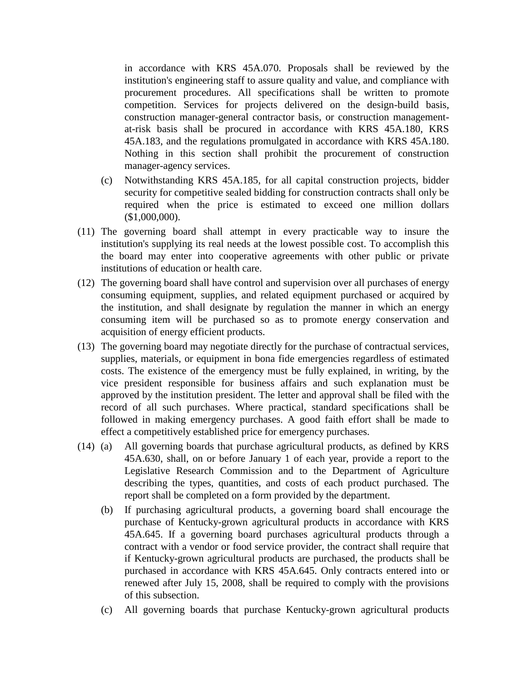in accordance with KRS 45A.070. Proposals shall be reviewed by the institution's engineering staff to assure quality and value, and compliance with procurement procedures. All specifications shall be written to promote competition. Services for projects delivered on the design-build basis, construction manager-general contractor basis, or construction managementat-risk basis shall be procured in accordance with KRS 45A.180, KRS 45A.183, and the regulations promulgated in accordance with KRS 45A.180. Nothing in this section shall prohibit the procurement of construction manager-agency services.

- (c) Notwithstanding KRS 45A.185, for all capital construction projects, bidder security for competitive sealed bidding for construction contracts shall only be required when the price is estimated to exceed one million dollars (\$1,000,000).
- (11) The governing board shall attempt in every practicable way to insure the institution's supplying its real needs at the lowest possible cost. To accomplish this the board may enter into cooperative agreements with other public or private institutions of education or health care.
- (12) The governing board shall have control and supervision over all purchases of energy consuming equipment, supplies, and related equipment purchased or acquired by the institution, and shall designate by regulation the manner in which an energy consuming item will be purchased so as to promote energy conservation and acquisition of energy efficient products.
- (13) The governing board may negotiate directly for the purchase of contractual services, supplies, materials, or equipment in bona fide emergencies regardless of estimated costs. The existence of the emergency must be fully explained, in writing, by the vice president responsible for business affairs and such explanation must be approved by the institution president. The letter and approval shall be filed with the record of all such purchases. Where practical, standard specifications shall be followed in making emergency purchases. A good faith effort shall be made to effect a competitively established price for emergency purchases.
- (14) (a) All governing boards that purchase agricultural products, as defined by KRS 45A.630, shall, on or before January 1 of each year, provide a report to the Legislative Research Commission and to the Department of Agriculture describing the types, quantities, and costs of each product purchased. The report shall be completed on a form provided by the department.
	- (b) If purchasing agricultural products, a governing board shall encourage the purchase of Kentucky-grown agricultural products in accordance with KRS 45A.645. If a governing board purchases agricultural products through a contract with a vendor or food service provider, the contract shall require that if Kentucky-grown agricultural products are purchased, the products shall be purchased in accordance with KRS 45A.645. Only contracts entered into or renewed after July 15, 2008, shall be required to comply with the provisions of this subsection.
	- (c) All governing boards that purchase Kentucky-grown agricultural products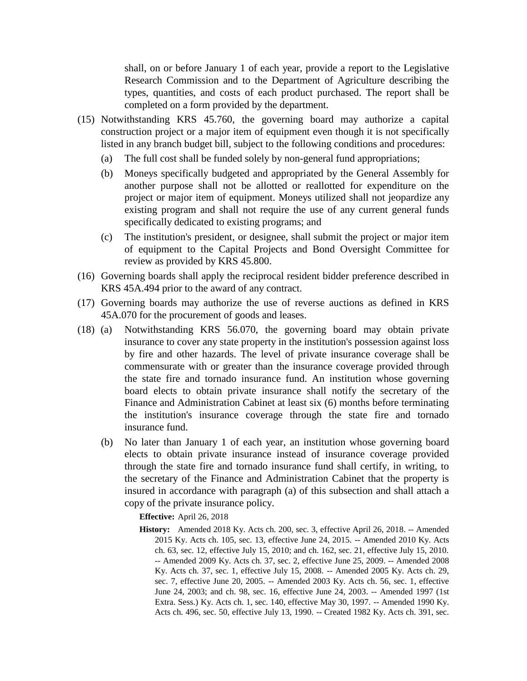shall, on or before January 1 of each year, provide a report to the Legislative Research Commission and to the Department of Agriculture describing the types, quantities, and costs of each product purchased. The report shall be completed on a form provided by the department.

- (15) Notwithstanding KRS 45.760, the governing board may authorize a capital construction project or a major item of equipment even though it is not specifically listed in any branch budget bill, subject to the following conditions and procedures:
	- (a) The full cost shall be funded solely by non-general fund appropriations;
	- (b) Moneys specifically budgeted and appropriated by the General Assembly for another purpose shall not be allotted or reallotted for expenditure on the project or major item of equipment. Moneys utilized shall not jeopardize any existing program and shall not require the use of any current general funds specifically dedicated to existing programs; and
	- (c) The institution's president, or designee, shall submit the project or major item of equipment to the Capital Projects and Bond Oversight Committee for review as provided by KRS 45.800.
- (16) Governing boards shall apply the reciprocal resident bidder preference described in KRS 45A.494 prior to the award of any contract.
- (17) Governing boards may authorize the use of reverse auctions as defined in KRS 45A.070 for the procurement of goods and leases.
- (18) (a) Notwithstanding KRS 56.070, the governing board may obtain private insurance to cover any state property in the institution's possession against loss by fire and other hazards. The level of private insurance coverage shall be commensurate with or greater than the insurance coverage provided through the state fire and tornado insurance fund. An institution whose governing board elects to obtain private insurance shall notify the secretary of the Finance and Administration Cabinet at least six (6) months before terminating the institution's insurance coverage through the state fire and tornado insurance fund.
	- (b) No later than January 1 of each year, an institution whose governing board elects to obtain private insurance instead of insurance coverage provided through the state fire and tornado insurance fund shall certify, in writing, to the secretary of the Finance and Administration Cabinet that the property is insured in accordance with paragraph (a) of this subsection and shall attach a copy of the private insurance policy.

**Effective:** April 26, 2018

**History:** Amended 2018 Ky. Acts ch. 200, sec. 3, effective April 26, 2018. -- Amended 2015 Ky. Acts ch. 105, sec. 13, effective June 24, 2015. -- Amended 2010 Ky. Acts ch. 63, sec. 12, effective July 15, 2010; and ch. 162, sec. 21, effective July 15, 2010. -- Amended 2009 Ky. Acts ch. 37, sec. 2, effective June 25, 2009. -- Amended 2008 Ky. Acts ch. 37, sec. 1, effective July 15, 2008. -- Amended 2005 Ky. Acts ch. 29, sec. 7, effective June 20, 2005. -- Amended 2003 Ky. Acts ch. 56, sec. 1, effective June 24, 2003; and ch. 98, sec. 16, effective June 24, 2003. -- Amended 1997 (1st Extra. Sess.) Ky. Acts ch. 1, sec. 140, effective May 30, 1997. -- Amended 1990 Ky. Acts ch. 496, sec. 50, effective July 13, 1990. -- Created 1982 Ky. Acts ch. 391, sec.